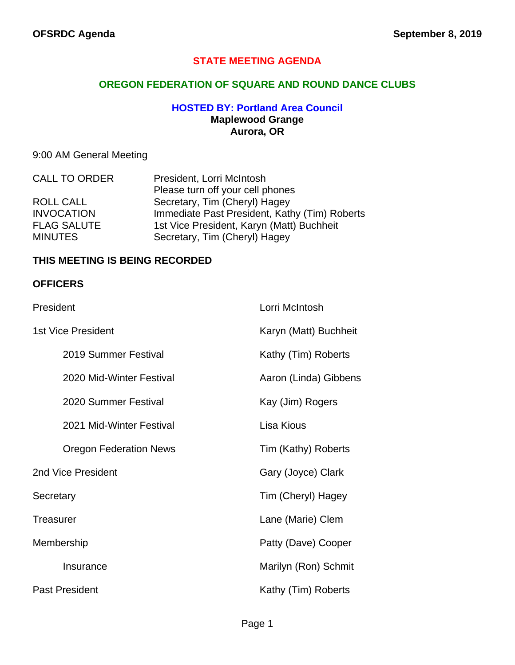## **STATE MEETING AGENDA**

## **OREGON FEDERATION OF SQUARE AND ROUND DANCE CLUBS**

### **HOSTED BY: Portland Area Council Maplewood Grange Aurora, OR**

# 9:00 AM General Meeting

| <b>CALL TO ORDER</b> | President, Lorri McIntosh                     |  |
|----------------------|-----------------------------------------------|--|
|                      | Please turn off your cell phones              |  |
| <b>ROLL CALL</b>     | Secretary, Tim (Cheryl) Hagey                 |  |
| <b>INVOCATION</b>    | Immediate Past President, Kathy (Tim) Roberts |  |
| <b>FLAG SALUTE</b>   | 1st Vice President, Karyn (Matt) Buchheit     |  |
| <b>MINUTES</b>       | Secretary, Tim (Cheryl) Hagey                 |  |

#### **THIS MEETING IS BEING RECORDED**

#### **OFFICERS**

| President                     | Lorri McIntosh        |
|-------------------------------|-----------------------|
| 1st Vice President            | Karyn (Matt) Buchheit |
| 2019 Summer Festival          | Kathy (Tim) Roberts   |
| 2020 Mid-Winter Festival      | Aaron (Linda) Gibbens |
| 2020 Summer Festival          | Kay (Jim) Rogers      |
| 2021 Mid-Winter Festival      | Lisa Kious            |
| <b>Oregon Federation News</b> | Tim (Kathy) Roberts   |
| 2nd Vice President            | Gary (Joyce) Clark    |
| Secretary                     | Tim (Cheryl) Hagey    |
| <b>Treasurer</b>              | Lane (Marie) Clem     |
| Membership                    | Patty (Dave) Cooper   |
| Insurance                     | Marilyn (Ron) Schmit  |
| <b>Past President</b>         | Kathy (Tim) Roberts   |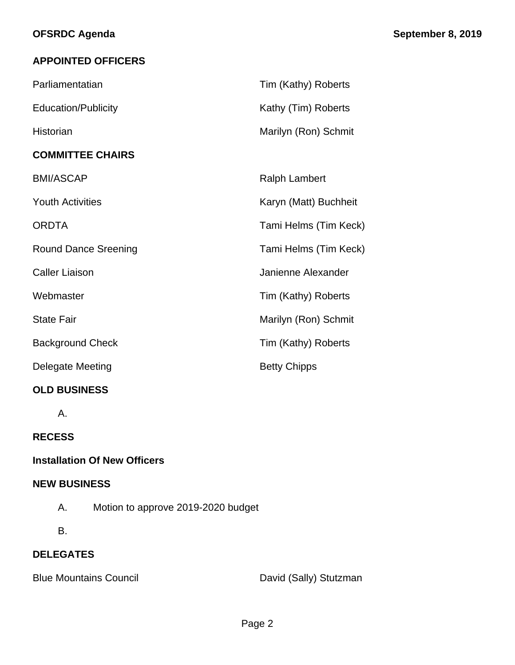# **APPOINTED OFFICERS**

| Parliamentatian             | Tim (Kathy) Roberts   |
|-----------------------------|-----------------------|
| <b>Education/Publicity</b>  | Kathy (Tim) Roberts   |
| <b>Historian</b>            | Marilyn (Ron) Schmit  |
| <b>COMMITTEE CHAIRS</b>     |                       |
| <b>BMI/ASCAP</b>            | <b>Ralph Lambert</b>  |
| <b>Youth Activities</b>     | Karyn (Matt) Buchheit |
| <b>ORDTA</b>                | Tami Helms (Tim Keck) |
| <b>Round Dance Sreening</b> | Tami Helms (Tim Keck) |
| <b>Caller Liaison</b>       | Janienne Alexander    |
| Webmaster                   | Tim (Kathy) Roberts   |
| <b>State Fair</b>           | Marilyn (Ron) Schmit  |
| <b>Background Check</b>     | Tim (Kathy) Roberts   |
| Delegate Meeting            | <b>Betty Chipps</b>   |
| <b>OLD BUSINESS</b>         |                       |

A.

# **RECESS**

# **Installation Of New Officers**

#### **NEW BUSINESS**

- A. Motion to approve 2019-2020 budget
- B.

# **DELEGATES**

Blue Mountains Council **David (Sally)** Stutzman